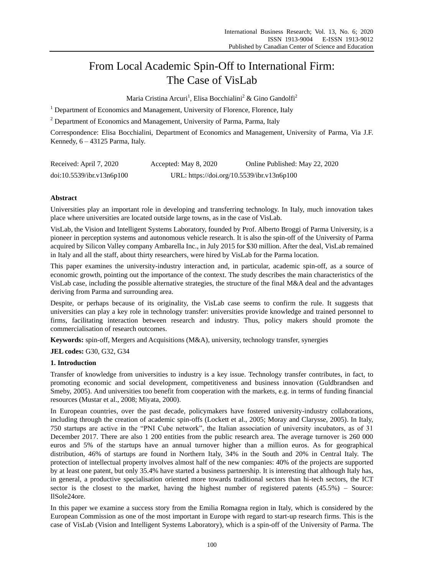# From Local Academic Spin-Off to International Firm: The Case of VisLab

Maria Cristina Arcuri<sup>1</sup>, Elisa Bocchialini<sup>2</sup> & Gino Gandolfi<sup>2</sup>

 $1$  Department of Economics and Management, University of Florence, Florence, Italy

<sup>2</sup> Department of Economics and Management, University of Parma, Parma, Italy

Correspondence: Elisa Bocchialini, Department of Economics and Management, University of Parma, Via J.F. Kennedy,  $6 - 43125$  Parma, Italy.

| Received: April 7, 2020   | Accepted: May 8, 2020                      | Online Published: May 22, 2020 |
|---------------------------|--------------------------------------------|--------------------------------|
| doi:10.5539/ibr.v13n6p100 | URL: https://doi.org/10.5539/ibr.v13n6p100 |                                |

## **Abstract**

Universities play an important role in developing and transferring technology. In Italy, much innovation takes place where universities are located outside large towns, as in the case of VisLab.

VisLab, the Vision and Intelligent Systems Laboratory, founded by Prof. Alberto Broggi of Parma University, is a pioneer in perception systems and autonomous vehicle research. It is also the spin-off of the University of Parma acquired by Silicon Valley company [Ambarella Inc.,](https://en.wikipedia.org/wiki/Ambarella_Inc.) in July 2015 for \$30 million. After the deal, VisLab remained in Italy and all the staff, about thirty researchers, were hired by VisLab for the Parma location.

This paper examines the university-industry interaction and, in particular, academic spin-off, as a source of economic growth, pointing out the importance of the context. The study describes the main characteristics of the VisLab case, including the possible alternative strategies, the structure of the final M&A deal and the advantages deriving from Parma and surrounding area.

Despite, or perhaps because of its originality, the VisLab case seems to confirm the rule. It suggests that universities can play a key role in technology transfer: universities provide knowledge and trained personnel to firms, facilitating interaction between research and industry. Thus, policy makers should promote the commercialisation of research outcomes.

**Keywords:** spin-off, Mergers and Acquisitions (M&A), university, technology transfer, synergies

**JEL codes:** G30, G32, G34

## **1. Introduction**

Transfer of knowledge from universities to industry is a key issue. Technology transfer contributes, in fact, to promoting economic and social development, competitiveness and business innovation (Guldbrandsen and Smeby, 2005). And universities too benefit from cooperation with the markets, e.g. in terms of funding financial resources (Mustar et al., 2008; Miyata, 2000).

In European countries, over the past decade, policymakers have fostered university-industry collaborations, including through the creation of academic spin-offs (Lockett et al., 2005; Moray and Clarysse, 2005). In Italy, 750 startups are active in the "PNI Cube network", the Italian association of university incubators, as of 31 December 2017. There are also 1 200 entities from the public research area. The average turnover is 260 000 euros and 5% of the startups have an annual turnover higher than a million euros. As for geographical distribution, 46% of startups are found in Northern Italy, 34% in the South and 20% in Central Italy. The protection of intellectual property involves almost half of the new companies: 40% of the projects are supported by at least one patent, but only 35.4% have started a business partnership. It is interesting that although Italy has, in general, a productive specialisation oriented more towards traditional sectors than hi-tech sectors, the ICT sector is the closest to the market, having the highest number of registered patents (45.5%) – Source: IlSole24ore.

In this paper we examine a success story from the Emilia Romagna region in Italy, which is considered by the European Commission as one of the most important in Europe with regard to start-up research firms. This is the case of VisLab (Vision and Intelligent Systems Laboratory), which is a spin-off of the University of Parma. The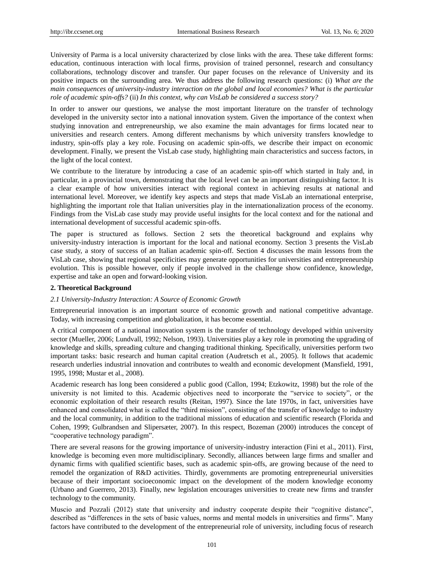University of Parma is a local university characterized by close links with the area. These take different forms: education, continuous interaction with local firms, provision of trained personnel, research and consultancy collaborations, technology discover and transfer. Our paper focuses on the relevance of University and its positive impacts on the surrounding area. We thus address the following research questions: (i) *What are the main consequences of university-industry interaction on the global and local economies? What is the particular role of academic spin-offs?* (ii) *In this context, why can VisLab be considered a success story?*

In order to answer our questions, we analyse the most important literature on the transfer of technology developed in the university sector into a national innovation system. Given the importance of the context when studying innovation and entrepreneurship, we also examine the main advantages for firms located near to universities and research centers. Among different mechanisms by which university transfers knowledge to industry, spin-offs play a key role. Focusing on academic spin-offs, we describe their impact on economic development. Finally, we present the VisLab case study, highlighting main characteristics and success factors, in the light of the local context.

We contribute to the literature by introducing a case of an academic spin-off which started in Italy and, in particular, in a provincial town, demonstrating that the local level can be an important distinguishing factor. It is a clear example of how universities interact with regional context in achieving results at national and international level. Moreover, we identify key aspects and steps that made VisLab an international enterprise, highlighting the important role that Italian universities play in the internationalization process of the economy. Findings from the VisLab case study may provide useful insights for the local context and for the national and international development of successful academic spin-offs.

The paper is structured as follows. Section 2 sets the theoretical background and explains why university-industry interaction is important for the local and national economy. Section 3 presents the VisLab case study, a story of success of an Italian academic spin-off. Section 4 discusses the main lessons from the VisLab case, showing that regional specificities may generate opportunities for universities and entrepreneurship evolution. This is possible however, only if people involved in the challenge show confidence, knowledge, expertise and take an open and forward-looking vision.

## **2. Theoretical Background**

#### *2.1 University-Industry Interaction: A Source of Economic Growth*

Entrepreneurial innovation is an important source of economic growth and national competitive advantage. Today, with increasing competition and globalization, it has become essential.

A critical component of a national innovation system is the transfer of technology developed within university sector (Mueller, 2006; Lundvall, 1992; Nelson, 1993). Universities play a key role in promoting the upgrading of knowledge and skills, spreading culture and changing traditional thinking. Specifically, universities perform two important tasks: basic research and human capital creation (Audretsch et al., 2005). It follows that academic research underlies industrial innovation and contributes to wealth and economic development (Mansfield, 1991, 1995, 1998; Mustar et al., 2008).

Academic research has long been considered a public good (Callon, 1994; Etzkowitz, 1998) but the role of the university is not limited to this. Academic objectives need to incorporate the "service to society", or the economic exploitation of their research results (Reitan, 1997). Since the late 1970s, in fact, universities have enhanced and consolidated what is called the "third mission", consisting of the transfer of knowledge to industry and the local community, in addition to the traditional missions of education and scientific research (Florida and Cohen, 1999; Gulbrandsen and Slipersæter, 2007). In this respect, Bozeman (2000) introduces the concept of "cooperative technology paradigm".

There are several reasons for the growing importance of university-industry interaction (Fini et al., 2011). First, knowledge is becoming even more multidisciplinary. Secondly, alliances between large firms and smaller and dynamic firms with qualified scientific bases, such as academic spin-offs, are growing because of the need to remodel the organization of R&D activities. Thirdly, governments are promoting entrepreneurial universities because of their important socioeconomic impact on the development of the modern knowledge economy (Urbano and Guerrero, 2013). Finally, new legislation encourages universities to create new firms and transfer technology to the community.

Muscio and Pozzali (2012) state that university and industry cooperate despite their "cognitive distance", described as "differences in the sets of basic values, norms and mental models in universities and firms". Many factors have contributed to the development of the entrepreneurial role of university, including focus of research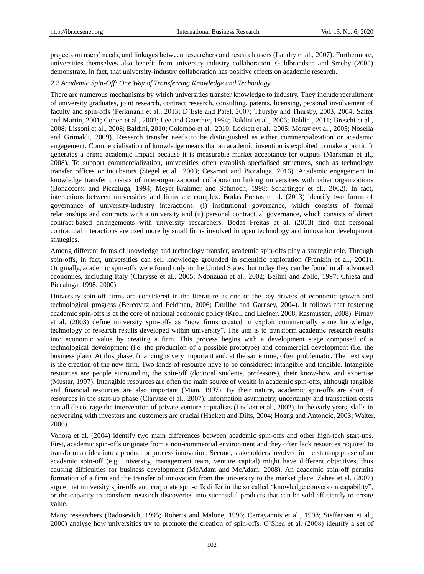projects on users' needs, and linkages between researchers and research users (Landry et al., 2007). Furthermore, universities themselves also benefit from university-industry collaboration. Guldbrandsen and Smeby (2005) demonstrate, in fact, that university-industry collaboration has positive effects on academic research.

## *2.2 Academic Spin-Off: One Way of Transferring Knowledge and Technology*

There are numerous mechanisms by which universities transfer knowledge to industry. They include recruitment of university graduates, joint research, contract research, consulting, patents, licensing, personal involvement of faculty and spin-offs (Perkmann et al., 2013; D'Este and Patel, 2007; Thursby and Thursby, 2003, 2004; Salter and Martin, 2001; Cohen et al., 2002; Lee and Gaerther, 1994; Baldini et al., 2006; Baldini, 2011; Breschi et al., 2008; Lissoni et al., 2008; Baldini, 2010; Colombo et al., 2010; Lockett et al., 2005; Moray eyt al., 2005; Nosella and Grimaldi, 2009). Research transfer needs to be distinguished as either commercialization or academic engagement. Commercialisation of knowledge means that an academic invention is exploited to make a profit. It generates a prime academic impact because it is measurable market acceptance for outputs (Markman et al., 2008). To support commercialization, universities often establish specialised structures, such as technology transfer offices or incubators (Siegel et al., 2003; Cesaroni and Piccaluga, 2016). Academic engagement in knowledge transfer consists of inter-organizational collaboration linking universities with other organizations (Bonaccorsi and Piccaluga, 1994; Meyer-Krahmer and Schmoch, 1998; Schartinger et al., 2002). In fact, interactions between universities and firms are complex. Bodas Freitas et al. (2013) identify two forms of governance of university-industry interactions: (i) institutional governance, which consists of formal relationships and contracts with a university and (ii) personal contractual governance, which consists of direct contract-based arrangements with university researchers. Bodas Freitas et al. (2013) find that personal contractual interactions are used more by small firms involved in open technology and innovation development strategies.

Among different forms of knowledge and technology transfer, academic spin-offs play a strategic role. Through spin-offs, in fact, universities can sell knowledge grounded in scientific exploration (Franklin et al., 2001). Originally, academic spin-offs were found only in the United States, but today they can be found in all advanced economies, including Italy (Clarysse et al., 2005; Ndonzuau et al., 2002; Bellini and Zollo, 1997; Chiesa and Piccaluga, 1998, 2000).

University spin-off firms are considered in the literature as one of the key drivers of economic growth and technological progress (Bercovitz and Feldman, 2006; Druilhe and Garnsey, 2004). It follows that fostering academic spin-offs is at the core of national economic policy (Kroll and Liefner, 2008; Rasmussen, 2008). Pirnay et al. (2003) define university spin-offs as "new firms created to exploit commercially some knowledge, technology or research results developed within university". The aim is to transform academic research results into economic value by creating a firm. This process begins with a development stage composed of a technological development (i.e. the production of a possible prototype) and commercial development (i.e. the business plan). At this phase, financing is very important and, at the same time, often problematic. The next step is the creation of the new firm. Two kinds of resource have to be considered: intangible and tangible. Intangible resources are people surrounding the spin-off (doctoral students, professors), their know-how and expertise (Mustar, 1997). Intangible resources are often the main source of wealth in academic spin-offs, although tangible and financial resources are also important (Mian, 1997). By their nature, academic spin-offs are short of resources in the start-up phase (Clarysse et al., 2007). Information asymmetry, uncertainty and transaction costs can all discourage the intervention of private venture capitalists (Lockett et al., 2002). In the early years, skills in networking with investors and customers are crucial (Hackett and Dilts, 2004; Hoang and Antoncic, 2003; Walter, 2006).

Vohora et al. (2004) identify two main differences between academic spin-offs and other high-tech start-ups. First, academic spin-offs originate from a non-commercial environment and they often lack resources required to transform an idea into a product or process innovation. Second, stakeholders involved in the start-up phase of an academic spin-off (e.g. university, management team, venture capital) might have different objectives, thus causing difficulties for business development (McAdam and McAdam, 2008). An academic spin-off permits formation of a firm and the transfer of innovation from the university to the market place. Zahea et al. (2007) argue that university spin-offs and corporate spin-offs differ in the so called "knowledge conversion capability", or the capacity to transform research discoveries into successful products that can be sold efficiently to create value.

Many researchers (Radosevich, 1995; Roberts and Malone, 1996; Carrayannis et al., 1998; Steffensen et al., 2000) analyse how universities try to promote the creation of spin-offs. O'Shea et al. (2008) identify a set of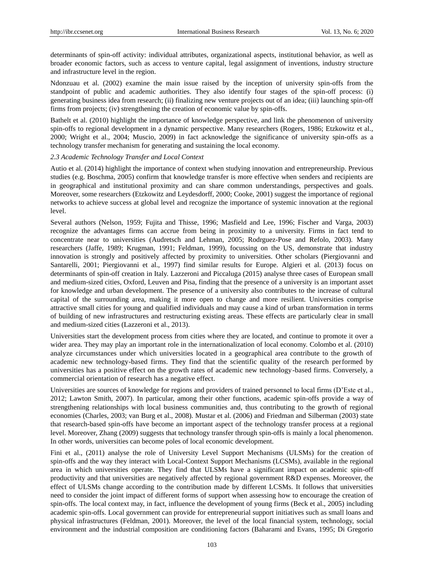determinants of spin-off activity: individual attributes, organizational aspects, institutional behavior, as well as broader economic factors, such as access to venture capital, legal assignment of inventions, industry structure and infrastructure level in the region.

Ndonzuau et al. (2002) examine the main issue raised by the inception of university spin-offs from the standpoint of public and academic authorities. They also identify four stages of the spin-off process: (i) generating business idea from research; (ii) finalizing new venture projects out of an idea; (iii) launching spin-off firms from projects; (iv) strengthening the creation of economic value by spin-offs.

Bathelt et al. (2010) highlight the importance of knowledge perspective, and link the phenomenon of university spin-offs to regional development in a dynamic perspective. Many researchers (Rogers, 1986; Etzkowitz et al., 2000; Wright et al., 2004; Muscio, 2009) in fact acknowledge the significance of university spin-offs as a technology transfer mechanism for generating and sustaining the local economy.

### *2.3 Academic Technology Transfer and Local Context*

Autio et al. (2014) highlight the importance of context when studying innovation and entrepreneurship. Previous studies (e.g. Boschma, 2005) confirm that knowledge transfer is more effective when senders and recipients are in geographical and institutional proximity and can share common understandings, perspectives and goals. Moreover, some researchers (Etzkowitz and Leydesdorff, 2000; Cooke, 2001) suggest the importance of regional networks to achieve success at global level and recognize the importance of systemic innovation at the regional level.

Several authors (Nelson, 1959; Fujita and Thisse, 1996; Masfield and Lee, 1996; Fischer and Varga, 2003) recognize the advantages firms can accrue from being in proximity to a university. Firms in fact tend to concentrate near to universities (Audretsch and Lehman, 2005; Rodrguez-Pose and Refolo, 2003). Many researchers (Jaffe, 1989; Krugman, 1991; Feldman, 1999), focussing on the US, demonstrate that industry innovation is strongly and positively affected by proximity to universities. Other scholars (Piergiovanni and Santarelli, 2001; Piergiovanni et al., 1997) find similar results for Europe. Algieri et al. (2013) focus on determinants of spin-off creation in Italy. Lazzeroni and Piccaluga (2015) analyse three cases of European small and medium-sized cities, Oxford, Leuven and Pisa, finding that the presence of a university is an important asset for knowledge and urban development. The presence of a university also contributes to the increase of cultural capital of the surrounding area, making it more open to change and more resilient. Universities comprise attractive small cities for young and qualified individuals and may cause a kind of urban transformation in terms of building of new infrastructures and restructuring existing areas. These effects are particularly clear in small and medium-sized cities (Lazzeroni et al., 2013).

Universities start the development process from cities where they are located, and continue to promote it over a wider area. They may play an important role in the internationalization of local economy. Colombo et al. (2010) analyze circumstances under which universities located in a geographical area contribute to the growth of academic new technology-based firms. They find that the scientific quality of the research performed by universities has a positive effect on the growth rates of academic new technology-based firms. Conversely, a commercial orientation of research has a negative effect.

Universities are sources of knowledge for regions and providers of trained personnel to local firms (D'Este et al., 2012; Lawton Smith, 2007). In particular, among their other functions, academic spin-offs provide a way of strengthening relationships with local business communities and, thus contributing to the growth of regional economies (Charles, 2003; van Burg et al., 2008). Mustar et al. (2006) and Friedman and Silberman (2003) state that research-based spin-offs have become an important aspect of the technology transfer process at a regional level. Moreover, Zhang (2009) suggests that technology transfer through spin-offs is mainly a local phenomenon. In other words, universities can become poles of local economic development.

Fini et al., (2011) analyse the role of University Level Support Mechanisms (ULSMs) for the creation of spin-offs and the way they interact with Local-Context Support Mechanisms (LCSMs), available in the regional area in which universities operate. They find that ULSMs have a significant impact on academic spin-off productivity and that universities are negatively affected by regional government R&D expenses. Moreover, the effect of ULSMs change according to the contribution made by different LCSMs. It follows that universities need to consider the joint impact of different forms of support when assessing how to encourage the creation of spin-offs. The local context may, in fact, influence the development of young firms (Beck et al., 2005) including academic spin-offs. Local government can provide for entrepreneurial support initiatives such as small loans and physical infrastructures (Feldman, 2001). Moreover, the level of the local financial system, technology, social environment and the industrial composition are conditioning factors (Baharami and Evans, 1995; Di Gregorio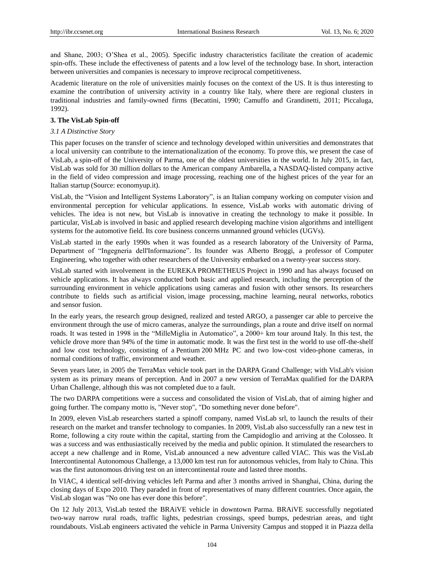and Shane, 2003; O'Shea et al., 2005). Specific industry characteristics facilitate the creation of academic spin-offs. These include the effectiveness of patents and a low level of the technology base. In short, interaction between universities and companies is necessary to improve reciprocal competitiveness.

Academic literature on the role of universities mainly focuses on the context of the US. It is thus interesting to examine the contribution of university activity in a country like Italy, where there are regional clusters in traditional industries and family-owned firms (Becattini, 1990; Camuffo and Grandinetti, 2011; Piccaluga, 1992).

### **3. The VisLab Spin-off**

### *3.1 A Distinctive Story*

This paper focuses on the transfer of science and technology developed within universities and demonstrates that a local university can contribute to the internationalization of the economy. To prove this, we present the case of VisLab, a spin-off of the University of Parma, one of the oldest universities in the world. In July 2015, in fact, VisLab was sold for 30 million dollars to the American company Ambarella, a NASDAQ-listed company active in the field of video compression and image processing, reaching one of the highest prices of the year for an Italian startup (Source: economyup.it).

VisLab, the "Vision and Intelligent Systems Laboratory", is an Italian company working on computer vision and environmental perception for vehicular applications. In essence, VisLab works with automatic driving of vehicles. The idea is not new, but VisLab is innovative in creating the technology to make it possible. In particular, VisLab is involved in basic and applied research developing machine vision algorithms and intelligent systems for the automotive field. Its core business concerns unmanned ground vehicles (UGVs).

VisLab started in the early 1990s when it was founded as a research laboratory of the University of Parma, Department of "Ingegneria dell'Informazione". Its founder was Alberto Broggi, a professor of Computer Engineering, who together with other researchers of the University embarked on a twenty-year success story.

VisLab started with involvement in the EUREKA PROMETHEUS Project in 1990 and has always focused on vehicle applications. It has always conducted both basic and applied research, including the perception of the surrounding environment in vehicle applications using cameras and fusion with other sensors. Its researchers contribute to fields such as artificial vision, image processing, machine learning, neural networks, robotics and sensor fusion.

In the early years, the research group designed, realized and tested ARGO, a passenger car able to perceive the environment through the use of micro cameras, analyze the surroundings, plan a route and drive itself on normal roads. It was tested in 1998 in the "MilleMiglia in Automatico", a 2000+ km tour around Italy. In this test, the vehicle drove more than 94% of the time in automatic mode. It was the first test in the world to use off-the-shelf and low cost technology, consisting of a Pentium 200 MHz PC and two low-cost video-phone cameras, in normal conditions of traffic, environment and weather.

Seven years later, in 2005 the TerraMax vehicle took part in the DARPA Grand Challenge; with VisLab's vision system as its primary means of perception. And in 2007 a new version of TerraMax qualified for the [DARPA](https://en.wikipedia.org/wiki/DARPA_Urban_Challenge)  [Urban Challenge,](https://en.wikipedia.org/wiki/DARPA_Urban_Challenge) although this was not completed due to a fault.

The two DARPA competitions were a success and consolidated the vision of VisLab, that of aiming higher and going further. The company motto is, "Never stop", "Do something never done before".

In 2009, eleven VisLab researchers started a spinoff company, named VisLab srl, to launch the results of their research on the market and transfer technology to companies. In 2009, VisLab also successfully ran a new test in Rome, following a city route within the capital, starting from the Campidoglio and arriving at the Colosseo. It was a success and was enthusiastically received by the media and public opinion. It stimulated the researchers to accept a new challenge and in Rome, VisLab announced a new adventure called VIAC. This was the VisLab Intercontinental Autonomous Challenge, a 13,000 km test run for autonomous vehicles, from Italy to China. This was the first autonomous driving test on an intercontinental route and lasted three months.

In VIAC, 4 identical self-driving vehicles left Parma and after 3 months arrived in Shanghai, China, during the closing days of Expo 2010. They paraded in front of representatives of many different countries. Once again, the VisLab slogan was "No one has ever done this before".

On 12 July 2013, VisLab tested the BRAiVE vehicle in downtown Parma. BRAiVE successfully negotiated two-way narrow rural roads, traffic lights, pedestrian crossings, speed bumps, pedestrian areas, and tight roundabouts. VisLab engineers activated the vehicle in Parma University Campus and stopped it in Piazza della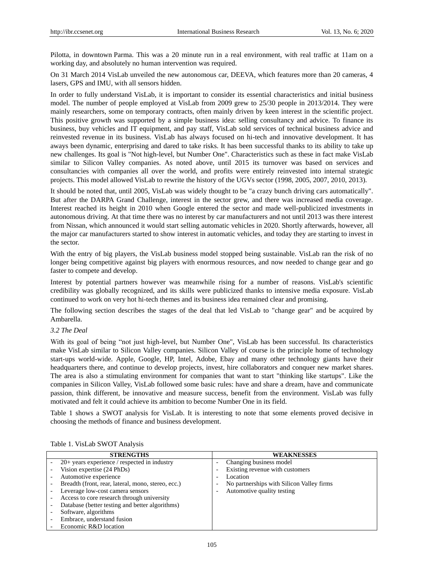Pilotta, in downtown Parma. This was a 20 minute run in a real environment, with real traffic at 11am on a working day, and absolutely no human intervention was required.

On 31 March 2014 VisLab unveiled the new autonomous car, DEEVA, which features more than 20 cameras, 4 lasers, GPS and IMU, with all sensors hidden.

In order to fully understand VisLab, it is important to consider its essential characteristics and initial business model. The number of people employed at VisLab from 2009 grew to 25/30 people in 2013/2014. They were mainly researchers, some on temporary contracts, often mainly driven by keen interest in the scientific project. This positive growth was supported by a simple business idea: selling consultancy and advice. To finance its business, buy vehicles and IT equipment, and pay staff, VisLab sold services of technical business advice and reinvested revenue in its business. VisLab has always focused on hi-tech and innovative development. It has aways been dynamic, enterprising and dared to take risks. It has been successful thanks to its ability to take up new challenges. Its goal is "Not high-level, but Number One". Characteristics such as these in fact make VisLab similar to Silicon Valley companies. As noted above, until 2015 its turnover was based on services and consultancies with companies all over the world, and profits were entirely reinvested into internal strategic projects. This model allowed VisLab to rewrite the history of the UGVs sector (1998, 2005, 2007, 2010, 2013).

It should be noted that, until 2005, VisLab was widely thought to be "a crazy bunch driving cars automatically". But after the DARPA Grand Challenge, interest in the sector grew, and there was increased media coverage. Interest reached its height in 2010 when Google entered the sector and made well-publicized investments in autonomous driving. At that time there was no interest by car manufacturers and not until 2013 was there interest from Nissan, which announced it would start selling automatic vehicles in 2020. Shortly afterwards, however, all the major car manufacturers started to show interest in automatic vehicles, and today they are starting to invest in the sector.

With the entry of big players, the VisLab business model stopped being sustainable. VisLab ran the risk of no longer being competitive against big players with enormous resources, and now needed to change gear and go faster to compete and develop.

Interest by potential partners however was meanwhile rising for a number of reasons. VisLab's scientific credibility was globally recognized, and its skills were publicized thanks to intensive media exposure. VisLab continued to work on very hot hi-tech themes and its business idea remained clear and promising.

The following section describes the stages of the deal that led VisLab to "change gear" and be acquired by Ambarella.

## *3.2 The Deal*

With its goal of being "not just high-level, but Number One", VisLab has been successful. Its characteristics make VisLab similar to Silicon Valley companies. Silicon Valley of course is the principle home of technology start-ups world-wide. Apple, Google, HP, Intel, Adobe, Ebay and many other technology giants have their headquarters there, and continue to develop projects, invest, hire collaborators and conquer new market shares. The area is also a stimulating environment for companies that want to start "thinking like startups". Like the companies in Silicon Valley, VisLab followed some basic rules: have and share a dream, have and communicate passion, think different, be innovative and measure success, benefit from the environment. VisLab was fully motivated and felt it could achieve its ambition to become Number One in its field.

Table 1 shows a SWOT analysis for VisLab. It is interesting to note that some elements proved decisive in choosing the methods of finance and business development.

| <b>STRENGTHS</b>                                   | <b>WEAKNESSES</b>                                                     |
|----------------------------------------------------|-----------------------------------------------------------------------|
| $20+$ years experience / respected in industry     | Changing business model<br>۰                                          |
| Vision expertise (24 PhDs)                         | Existing revenue with customers<br>$\overline{\phantom{0}}$           |
| Automotive experience                              | Location<br>$\overline{\phantom{a}}$                                  |
| Breadth (front, rear, lateral, mono, stereo, ecc.) | No partnerships with Silicon Valley firms<br>$\overline{\phantom{0}}$ |
| Leverage low-cost camera sensors                   | Automotive quality testing<br>۰                                       |
| Access to core research through university         |                                                                       |
| Database (better testing and better algorithms)    |                                                                       |
| Software, algorithms                               |                                                                       |
| Embrace, understand fusion                         |                                                                       |
| Economic R&D location                              |                                                                       |

Table 1. VisLab SWOT Analysis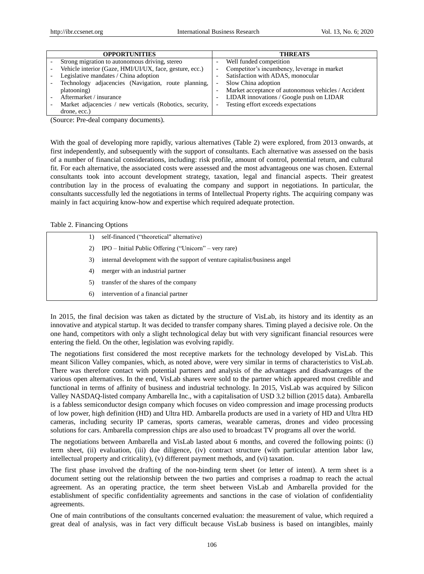|                                                         | <b>OPPORTUNITIES</b>                                    |                          | <b>THREATS</b>                                      |
|---------------------------------------------------------|---------------------------------------------------------|--------------------------|-----------------------------------------------------|
|                                                         | Strong migration to autonomous driving, stereo          | ۰                        | Well funded competition                             |
|                                                         | Vehicle interior (Gaze, HMI/UI/UX, face, gesture, ecc.) | $\qquad \qquad$          | Competitor's incumbency, leverage in market         |
|                                                         | Legislative mandates / China adoption                   |                          | Satisfaction with ADAS, monocular                   |
|                                                         | Technology adjacencies (Navigation, route planning,     | $\overline{\phantom{a}}$ | Slow China adoption                                 |
|                                                         | platooning)                                             |                          | Market acceptance of autonomous vehicles / Accident |
| Aftermarket / insurance                                 |                                                         | $\overline{\phantom{a}}$ | LIDAR innovations / Google push on LIDAR            |
| Market adjacencies / new verticals (Robotics, security, |                                                         | $\overline{\phantom{a}}$ | Testing effort exceeds expectations                 |
|                                                         | drone, ecc.)                                            |                          |                                                     |

(Source: Pre-deal company documents).

With the goal of developing more rapidly, various alternatives (Table 2) were explored, from 2013 onwards, at first independently, and subsequently with the support of consultants. Each alternative was assessed on the basis of a number of financial considerations, including: risk profile, amount of control, potential return, and cultural fit. For each alternative, the associated costs were assessed and the most advantageous one was chosen. External consultants took into account development strategy, taxation, legal and financial aspects. Their greatest contribution lay in the process of evaluating the company and support in negotiations. In particular, the consultants successfully led the negotiations in terms of Intellectual Property rights. The acquiring company was mainly in fact acquiring know-how and expertise which required adequate protection.

Table 2. Financing Options

|    | self-financed ("theoretical" alternative)                                  |
|----|----------------------------------------------------------------------------|
|    | $IPO$ – Initial Public Offering ("Unicorn" – very rare)                    |
| 3) | internal development with the support of venture capitalist/business angel |
| 4) | merger with an industrial partner                                          |
|    | transfer of the shares of the company                                      |
| 6) | intervention of a financial partner                                        |
|    |                                                                            |

In 2015, the final decision was taken as dictated by the structure of VisLab, its history and its identity as an innovative and atypical startup. It was decided to transfer company shares. Timing played a decisive role. On the one hand, competitors with only a slight technological delay but with very significant financial resources were entering the field. On the other, legislation was evolving rapidly.

The negotiations first considered the most receptive markets for the technology developed by VisLab. This meant Silicon Valley companies, which, as noted above, were very similar in terms of characteristics to VisLab. There was therefore contact with potential partners and analysis of the advantages and disadvantages of the various open alternatives. In the end, VisLab shares were sold to the partner which appeared most credible and functional in terms of affinity of business and industrial technology. In 2015, VisLab was acquired by Silicon Valley NASDAQ-listed company Ambarella Inc., with a capitalisation of USD 3.2 billion (2015 data). Ambarella is a fabless semiconductor design company which focuses on video compression and image processing products of low power, high definition (HD) and Ultra HD. Ambarella products are used in a variety of HD and Ultra HD cameras, including security IP cameras, sports cameras, wearable cameras, drones and video processing solutions for cars. Ambarella compression chips are also used to broadcast TV programs all over the world.

The negotiations between Ambarella and VisLab lasted about 6 months, and covered the following points: (i) term sheet, (ii) evaluation, (iii) due diligence, (iv) contract structure (with particular attention labor law, intellectual property and criticality), (v) different payment methods, and (vi) taxation.

The first phase involved the drafting of the non-binding term sheet (or letter of intent). A term sheet is a document setting out the relationship between the two parties and comprises a roadmap to reach the actual agreement. As an operating practice, the term sheet between VisLab and Ambarella provided for the establishment of specific confidentiality agreements and sanctions in the case of violation of confidentiality agreements.

One of main contributions of the consultants concerned evaluation: the measurement of value, which required a great deal of analysis, was in fact very difficult because VisLab business is based on intangibles, mainly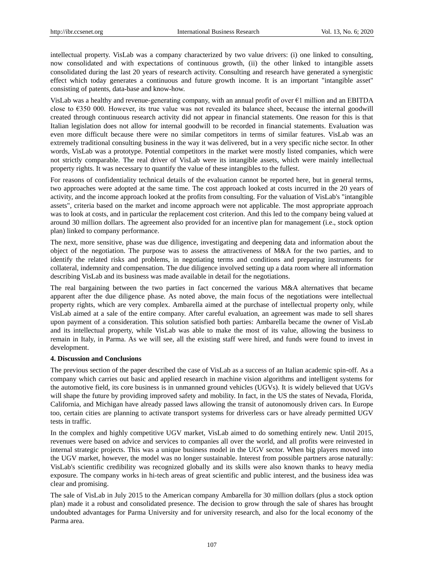intellectual property. VisLab was a company characterized by two value drivers: (i) one linked to consulting, now consolidated and with expectations of continuous growth, (ii) the other linked to intangible assets consolidated during the last 20 years of research activity. Consulting and research have generated a synergistic effect which today generates a continuous and future growth income. It is an important "intangible asset" consisting of patents, data-base and know-how.

VisLab was a healthy and revenue-generating company, with an annual profit of over  $\epsilon_1$  million and an EBITDA close to €350 000. However, its true value was not revealed its balance sheet, because the internal goodwill created through continuous research activity did not appear in financial statements. One reason for this is that Italian legislation does not allow for internal goodwill to be recorded in financial statements. Evaluation was even more difficult because there were no similar competitors in terms of similar features. VisLab was an extremely traditional consulting business in the way it was delivered, but in a very specific niche sector. In other words, VisLab was a prototype. Potential competitors in the market were mostly listed companies, which were not strictly comparable. The real driver of VisLab were its intangible assets, which were mainly intellectual property rights. It was necessary to quantify the value of these intangibles to the fullest.

For reasons of confidentiality technical details of the evaluation cannot be reported here, but in general terms, two approaches were adopted at the same time. The cost approach looked at costs incurred in the 20 years of activity, and the income approach looked at the profits from consulting. For the valuation of VisLab's "intangible assets", criteria based on the market and income approach were not applicable. The most appropriate approach was to look at costs, and in particular the replacement cost criterion. And this led to the company being valued at around 30 million dollars. The agreement also provided for an incentive plan for management (i.e., stock option plan) linked to company performance.

The next, more sensitive, phase was due diligence, investigating and deepening data and information about the object of the negotiation. The purpose was to assess the attractiveness of M&A for the two parties, and to identify the related risks and problems, in negotiating terms and conditions and preparing instruments for collateral, indemnity and compensation. The due diligence involved setting up a data room where all information describing VisLab and its business was made available in detail for the negotiations.

The real bargaining between the two parties in fact concerned the various M&A alternatives that became apparent after the due diligence phase. As noted above, the main focus of the negotiations were intellectual property rights, which are very complex. Ambarella aimed at the purchase of intellectual property only, while VisLab aimed at a sale of the entire company. After careful evaluation, an agreement was made to sell shares upon payment of a consideration. This solution satisfied both parties: Ambarella became the owner of VisLab and its intellectual property, while VisLab was able to make the most of its value, allowing the business to remain in Italy, in Parma. As we will see, all the existing staff were hired, and funds were found to invest in development.

#### **4. Discussion and Conclusions**

The previous section of the paper described the case of VisLab as a success of an Italian academic spin-off. As a company which carries out basic and applied research in machine vision algorithms and intelligent systems for the automotive field, its core business is in unmanned ground vehicles (UGVs). It is widely believed that UGVs will shape the future by providing improved safety and mobility. In fact, in the US the states of Nevada, Florida, California, and Michigan have already passed laws allowing the transit of autonomously driven cars. In Europe too, certain cities are planning to activate transport systems for driverless cars or have already permitted UGV tests in traffic.

In the complex and highly competitive UGV market, VisLab aimed to do something entirely new. Until 2015, revenues were based on advice and services to companies all over the world, and all profits were reinvested in internal strategic projects. This was a unique business model in the UGV sector. When big players moved into the UGV market, however, the model was no longer sustainable. Interest from possible partners arose naturally: VisLab's scientific credibility was recognized globally and its skills were also known thanks to heavy media exposure. The company works in hi-tech areas of great scientific and public interest, and the business idea was clear and promising.

The sale of VisLab in July 2015 to the American company Ambarella for 30 million dollars (plus a stock option plan) made it a robust and consolidated presence. The decision to grow through the sale of shares has brought undoubted advantages for Parma University and for university research, and also for the local economy of the Parma area.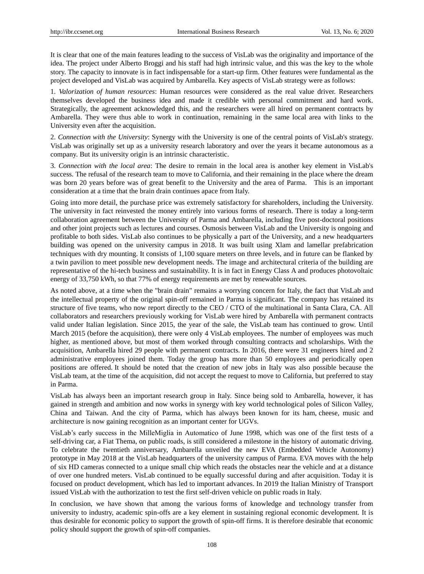It is clear that one of the main features leading to the success of VisLab was the originality and importance of the idea. The project under Alberto Broggi and his staff had high intrinsic value, and this was the key to the whole story. The capacity to innovate is in fact indispensable for a start-up firm. Other features were fundamental as the project developed and VisLab was acquired by Ambarella. Key aspects of VisLab strategy were as follows:

1. *Valorization of human resources*: Human resources were considered as the real value driver. Researchers themselves developed the business idea and made it credible with personal commitment and hard work. Strategically, the agreement acknowledged this, and the researchers were all hired on permanent contracts by Ambarella. They were thus able to work in continuation, remaining in the same local area with links to the University even after the acquisition.

2. *Connection with the University*: Synergy with the University is one of the central points of VisLab's strategy. VisLab was originally set up as a university research laboratory and over the years it became autonomous as a company. But its university origin is an intrinsic characteristic.

3. *Connection with the local area*: The desire to remain in the local area is another key element in VisLab's success. The refusal of the research team to move to California, and their remaining in the place where the dream was born 20 years before was of great benefit to the University and the area of Parma. This is an important consideration at a time that the brain drain continues apace from Italy.

Going into more detail, the purchase price was extremely satisfactory for shareholders, including the University. The university in fact reinvested the money entirely into various forms of research. There is today a long-term collaboration agreement between the University of Parma and Ambarella, including five post-doctoral positions and other joint projects such as lectures and courses. Osmosis between VisLab and the University is ongoing and profitable to both sides. VisLab also continues to be physically a part of the University, and a new headquarters building was opened on the university campus in 2018. It was built using Xlam and lamellar prefabrication techniques with dry mounting. It consists of 1,100 square meters on three levels, and in future can be flanked by a twin pavilion to meet possible new development needs. The image and architectural criteria of the building are representative of the hi-tech business and sustainability. It is in fact in Energy Class A and produces photovoltaic energy of 33,750 kWh, so that 77% of energy requirements are met by renewable sources.

As noted above, at a time when the "brain drain" remains a worrying concern for Italy, the fact that VisLab and the intellectual property of the original spin-off remained in Parma is significant. The company has retained its structure of five teams, who now report directly to the CEO / CTO of the multinational in Santa Clara, CA. All collaborators and researchers previously working for VisLab were hired by Ambarella with permanent contracts valid under Italian legislation. Since 2015, the year of the sale, the VisLab team has continued to grow. Until March 2015 (before the acquisition), there were only 4 VisLab employees. The number of employees was much higher, as mentioned above, but most of them worked through consulting contracts and scholarships. With the acquisition, Ambarella hired 29 people with permanent contracts. In 2016, there were 31 engineers hired and 2 administrative employees joined them. Today the group has more than 50 employees and periodically open positions are offered. It should be noted that the creation of new jobs in Italy was also possible because the VisLab team, at the time of the acquisition, did not accept the request to move to California, but preferred to stay in Parma.

VisLab has always been an important research group in Italy. Since being sold to Ambarella, however, it has gained in strength and ambition and now works in synergy with key world technological poles of Silicon Valley, China and Taiwan. And the city of Parma, which has always been known for its ham, [cheese,](https://en.wikipedia.org/wiki/Parmesan_cheese) music and [architecture](https://en.wikipedia.org/wiki/Architecture) is now gaining recognition as an important center for UGVs.

VisLab's early success in the MilleMiglia in Automatico of June 1998, which was one of the first tests of a self-driving car, a Fiat Thema, on public roads, is still considered a milestone in the history of automatic driving. To celebrate the twentieth anniversary, Ambarella unveiled the new EVA (Embedded Vehicle Autonomy) prototype in May 2018 at the VisLab headquarters of the university campus of Parma. EVA moves with the help of six HD cameras connected to a unique small chip which reads the obstacles near the vehicle and at a distance of over one hundred meters. VisLab continued to be equally successful during and after acquisition. Today it is focused on product development, which has led to important advances. In 2019 the Italian Ministry of Transport issued VisLab with the authorization to test the first self-driven vehicle on public roads in Italy.

In conclusion, we have shown that among the various forms of knowledge and technology transfer from university to industry, academic spin-offs are a key element in sustaining regional economic development. It is thus desirable for economic policy to support the growth of spin-off firms. It is therefore desirable that economic policy should support the growth of spin-off companies.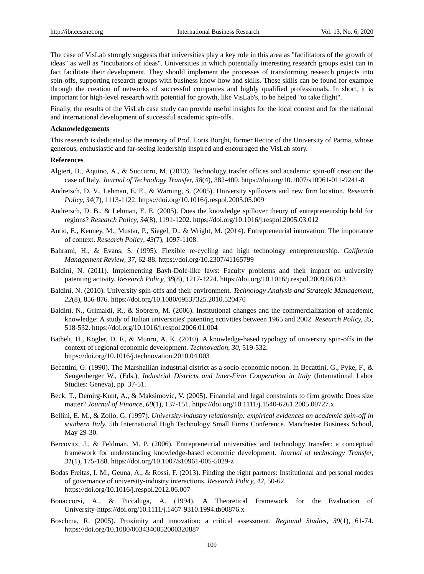The case of VisLab strongly suggests that universities play a key role in this area as "facilitators of the growth of ideas" as well as "incubators of ideas". Universities in which potentially interesting research groups exist can in fact facilitate their development. They should implement the processes of transforming research projects into spin-offs, supporting research groups with business know-how and skills. These skills can be found for example through the creation of networks of successful companies and highly qualified professionals. In short, it is important for high-level research with potential for growth, like VisLab's, to be helped "to take flight".

Finally, the results of the VisLab case study can provide useful insights for the local context and for the national and international development of successful academic spin-offs.

#### **Acknowledgements**

This research is dedicated to the memory of Prof. Loris Borghi, former Rector of the University of Parma, whose generous, enthusiastic and far-seeing leadership inspired and encouraged the VisLab story.

### **References**

- Algieri, B., Aquino, A., & Succurro, M. (2013). Technology trasfer offices and academic spin-off creation: the case of Italy. *Journal of Technology Transf*er, *38*(4), 382-400. <https://doi.org/10.1007/s10961-011-9241-8>
- Audretsch, D. V., Lehman, E. E., & Warning, S. (2005). University spillovers and new firm location. *Research Policy, 34*(7), 1113-1122. https://doi.org/10.1016/j.respol.2005.05.009
- Audretsch, D. B., & Lehman, E. E. (2005). Does the knowledge spillover theory of entrepreneurship hold for regions? *Research Policy, 34*(8), 1191-1202. https://doi.org/10.1016/j.respol.2005.03.012
- Autio, E., Kenney, M., Mustar, P., Siegel, D., & Wright, M. (2014). Entrepreneurial innovation: The importance of context. *Research Policy*, *43*(7), 1097-1108.
- Bahrami, H., & Evans, S. (1995). Flexible re-cycling and high technology entrepreneurship. *California Management Review*, *37,* 62-88. https://doi.org/10.2307/41165799
- Baldini, N. (2011). Implementing Bayh-Dole-like laws: Faculty problems and their impact on university patenting activity. *Research Policy, 38*(8), 1217-1224. https://doi.org/10.1016/j.respol.2009.06.013
- Baldini, N. (2010). University spin-offs and their environment. *Technology Analysis and Strategic Management, 22*(8), 856-876. https://doi.org/10.1080/09537325.2010.520470
- Baldini, N., Grimaldi, R., & Sobrero, M. (2006). Institutional changes and the commercialization of academic knowledge: A study of Italian universities' patenting activities between 1965 and 2002. *Research Policy, 35,*  518-532. https://doi.org/10.1016/j.respol.2006.01.004
- Bathelt, H., Kogler, D. F., & Munro, A. K. (2010). A knowledge-based typology of university spin-offs in the context of regional economic development. *Technovation, 30,* 519-532. https://doi.org/10.1016/j.technovation.2010.04.003
- Becattini, G. (1990). The Marshallian industrial district as a socio-economic notion. In Becattini, G., Pyke, F., & Sengenberger W., (Eds.), *Industrial Districts and Inter-Firm Cooperation in Italy* (International Labor Studies: Geneva), pp. 37-51.
- Beck, T., Demirg-Kunt, A., & Maksimovic, V. (2005). Financial and legal constraints to firm growth: Does size matter? *Journal of Finance*, *60*(1), 137-151. https://doi.org/10.1111/j.1540-6261.2005.00727.x
- Bellini, E. M., & Zollo, G. (1997). *University-industry relationship: empirical evidences on academic spin-off in southern Italy.* 5th International High Technology Small Firms Conference. Manchester Business School, May 29-30.
- Bercovitz, J., & Feldman, M. P. (2006). Entrepreneurial universities and technology transfer: a conceptual framework for understanding knowledge-based economic development. *Journal of technology Transfer, 31*(1), 175-188. https://doi.org/10.1007/s10961-005-5029-z
- Bodas Freitas, I. M., Geuna, A., & Rossi, F. (2013). Finding the right partners: Institutional and personal modes of governance of university-industry interactions. *Research Policy, 42,* 50-62. https://doi.org/10.1016/j.respol.2012.06.007
- Bonaccorsi, A., & Piccaluga, A. (1994). A Theoretical Framework for the Evaluation of University-https://doi.org/10.1111/j.1467-9310.1994.tb00876.x
- Boschma, R. (2005). Proximity and innovation: a critical assessment. *Regional Studies, 39*(1), 61-74. https://doi.org/10.1080/0034340052000320887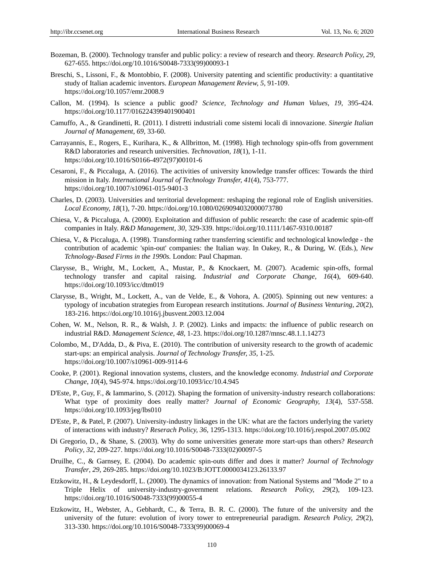- Bozeman, B. (2000). Technology transfer and public policy: a review of research and theory. *Research Policy, 29,*  627-655. https://doi.org/10.1016/S0048-7333(99)00093-1
- Breschi, S., Lissoni, F., & Montobbio, F. (2008). University patenting and scientific productivity: a quantitative study of Italian academic inventors. *European Management Review, 5,* 91-109. https://doi.org/10.1057/emr.2008.9
- Callon, M. (1994). Is science a public good? *Science, Technology and Human Values, 19,* 395-424. https://doi.org/10.1177/016224399401900401
- Camuffo, A., & Grandinetti, R. (2011). I distretti industriali come sistemi locali di innovazione. *Sinergie Italian Journal of Management*, *69,* 33-60.
- Carrayannis, E., Rogers, E., Kurihara, K., & Allbritton, M. (1998). High technology spin-offs from government R&D laboratories and research universities. *Technovation, 18*(1), 1-11. https://doi.org/10.1016/S0166-4972(97)00101-6
- Cesaroni, F., & Piccaluga, A. (2016). The activities of university knowledge transfer offices: Towards the third mission in Italy. *International Journal of Technology Transfer, 41*(4), 753-777. https://doi.org/10.1007/s10961-015-9401-3
- Charles, D. (2003). Universities and territorial development: reshaping the regional role of English universities. *Local Economy, 18*(1), 7-20. https://doi.org/10.1080/0269094032000073780
- Chiesa, V., & Piccaluga, A. (2000). Exploitation and diffusion of public research: the case of academic spin-off companies in Italy. *R&D Management, 30,* 329-339. https://doi.org/10.1111/1467-9310.00187
- Chiesa, V., & Piccaluga, A. (1998). Transforming rather transferring scientific and technological knowledge the contribution of academic 'spin-out' companies: the Italian way. In Oakey, R., & During, W. (Eds.), *New Tchnology-Based Firms in the 1990s.* London: Paul Chapman.
- Clarysse, B., Wright, M., Lockett, A., Mustar, P., & Knockaert, M. (2007). Academic spin-offs, formal technology transfer and capital raising. *Industrial and Corporate Change, 16*(4), 609-640. https://doi.org/10.1093/icc/dtm019
- Clarysse, B., Wright, M., Lockett, A., van de Velde, E., & Vohora, A. (2005). Spinning out new ventures: a typology of incubation strategies from European research institutions. *Journal of Business Venturing, 20*(2), 183-216. https://doi.org/10.1016/j.jbusvent.2003.12.004
- Cohen, W. M., Nelson, R. R., & Walsh, J. P. (2002). Links and impacts: the influence of public research on industrial R&D. *Management Science, 48,* 1-23. https://doi.org/10.1287/mnsc.48.1.1.14273
- Colombo, M., D'Adda, D., & Piva, E. (2010). The contribution of university research to the growth of academic start-ups: an empirical analysis. *Journal of Technology Transfer, 35,* 1-25. https://doi.org/10.1007/s10961-009-9114-6
- Cooke, P. (2001). Regional innovation systems, clusters, and the knowledge economy. *Industrial and Corporate Change*, *10*(4), 945-974. https://doi.org/10.1093/icc/10.4.945
- D'Este, P., Guy, F., & Iammarino, S. (2012). Shaping the formation of university-industry research collaborations: What type of proximity does really matter? *Journal of Economic Geography, 13*(4), 537-558. https://doi.org/10.1093/jeg/lbs010
- D'Este, P., & Patel, P. (2007). University-industry linkages in the UK: what are the factors underlying the variety of interactions with industry? *Reserach Policy, 36,* 1295-1313. https://doi.org/10.1016/j.respol.2007.05.002
- Di Gregorio, D., & Shane, S. (2003). Why do some universities generate more start-ups than others? *Research Policy*, *32,* 209-227. https://doi.org/10.1016/S0048-7333(02)00097-5
- Druilhe, C., & Garnsey, E. (2004). Do academic spin-outs differ and does it matter? *Journal of Technology Transfer*, *29,* 269-285. https://doi.org/10.1023/B:JOTT.0000034123.26133.97
- Etzkowitz, H., & Leydesdorff, L. (2000). The dynamics of innovation: from National Systems and "Mode 2" to a Triple Helix of university-industry-government relations. *Research Policy, 29*(2), 109-123. https://doi.org/10.1016/S0048-7333(99)00055-4
- Etzkowitz, H., Webster, A., Gebhardt, C., & Terra, B. R. C. (2000). The future of the university and the university of the future: evolution of ivory tower to entrepreneurial paradigm. *Research Policy, 29*(2), 313-330. https://doi.org/10.1016/S0048-7333(99)00069-4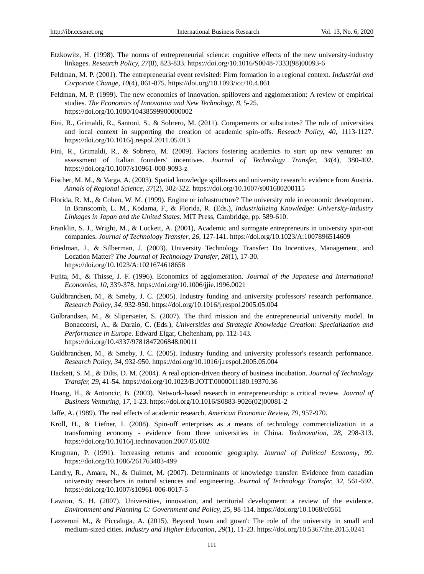- Etzkowitz, H. (1998). The norms of entrepreneurial science: cognitive effects of the new university-industry linkages. *Research Policy, 27*(8), 823-833. https://doi.org/10.1016/S0048-7333(98)00093-6
- Feldman, M. P. (2001). The entrepreneurial event revisited: Firm formation in a regional context. *Industrial and Corporate Change*, *10*(4), 861-875. https://doi.org/10.1093/icc/10.4.861
- Feldman, M. P. (1999). The new economics of innovation, spillovers and agglomeration: A review of empirical studies. *The Economics of Innovation and New Technology*, *8,* 5-25. https://doi.org/10.1080/10438599900000002
- Fini, R., Grimaldi, R., Santoni, S., & Sobrero, M. (2011). Compements or substitutes? The role of universities and local context in supporting the creation of academic spin-offs. *Reseach Policy, 40,* 1113-1127. https://doi.org/10.1016/j.respol.2011.05.013
- Fini, R., Grimaldi, R., & Sobrero, M. (2009). Factors fostering academics to start up new ventures: an assessment of Italian founders' incentives. *Journal of Technology Transfer, 34*(4), 380-402. https://doi.org/10.1007/s10961-008-9093-z
- Fischer, M. M., & Varga, A. (2003). Spatial knowledge spillovers and university research: evidence from Austria. *Annals of Regional Science, 37*(2), 302-322. https://doi.org/10.1007/s001680200115
- Florida, R. M., & Cohen, W. M. (1999). Engine or infrastructure? The university role in economic development. In Branscomb, L. M., Kodama, F., & Florida, R. (Eds.), *Industrializing Knowledge: University-Industry Linkages in Japan and the United States.* MIT Press, Cambridge, pp. 589-610.
- Franklin, S. J., Wright, M., & Lockett, A. (2001), Academic and surrogate entrepreneurs in university spin-out companies. *Journal of Technology Transfer*, *26,* 127-141. https://doi.org/10.1023/A:1007896514609
- Friedman, J., & Silberman, J. (2003). University Technology Transfer: Do Incentives, Management, and Location Matter? *The Journal of Technology Transfer*, *28*(1), 17-30. https://doi.org/10.1023/A:1021674618658
- Fujita, M., & Thisse, J. F. (1996). Economics of agglomeration. *Journal of the Japanese and International Economies, 10,* 339-378. https://doi.org/10.1006/jjie.1996.0021
- Guldbrandsen, M., & Smeby, J. C. (2005). Industry funding and university professors' research performance. *Research Policy, 34,* 932-950. https://doi.org/10.1016/j.respol.2005.05.004
- Gulbrandsen, M., & Slipersæter, S. (2007). The third mission and the entrepreneurial university model. In Bonaccorsi, A., & Daraio, C. (Eds.), *Universities and Strategic Knowledge Creation: Specialization and Performance in Europe.* Edward Elgar, Cheltenham, pp. 112-143. https://doi.org/10.4337/9781847206848.00011
- Guldbrandsen, M., & Smeby, J. C. (2005). Industry funding and university professor's research performance. *Research Policy*, *34,* 932-950. https://doi.org/10.1016/j.respol.2005.05.004
- Hackett, S. M., & Dilts, D. M. (2004). A real option-driven theory of business incubation. *Journal of Technology Transfer, 29,* 41-54. https://doi.org/10.1023/B:JOTT.0000011180.19370.36
- Hoang, H., & Antoncic, B. (2003). Network-based research in entrepreneurship: a critical review. *Journal of Business Venturing, 17,* 1-23. https://doi.org/10.1016/S0883-9026(02)00081-2
- Jaffe, A. (1989). The real effects of academic research. *American Economic Review, 79,* 957-970.
- Kroll, H., & Liefner, I. (2008). Spin-off enterprises as a means of technology commercialization in a transforming economy - evidence from three universities in China. *Technovation, 28,* 298-313. https://doi.org/10.1016/j.technovation.2007.05.002
- Krugman, P. (1991). Increasing returns and economic geography. *Journal of Political Economy*, *99.* https://doi.org/10.1086/261763483-499
- Landry, R., Amara, N., & Ouimet, M. (2007). Determinants of knowledge transfer: Evidence from canadian university reearchers in natural sciences and engineering. *Journal of Technology Transfer, 32,* 561-592. https://doi.org/10.1007/s10961-006-0017-5
- Lawton, S. H. (2007). Universities, innovation, and territorial development: a review of the evidence. *Environment and Planning C: Government and Policy, 25,* 98-114. https://doi.org/10.1068/c0561
- Lazzeroni M., & Piccaluga, A. (2015). Beyond 'town and gown': The role of the university in small and medium-sized cities. *Industry and Higher Education*, *29*(1), 11-23. https://doi.org/10.5367/ihe.2015.0241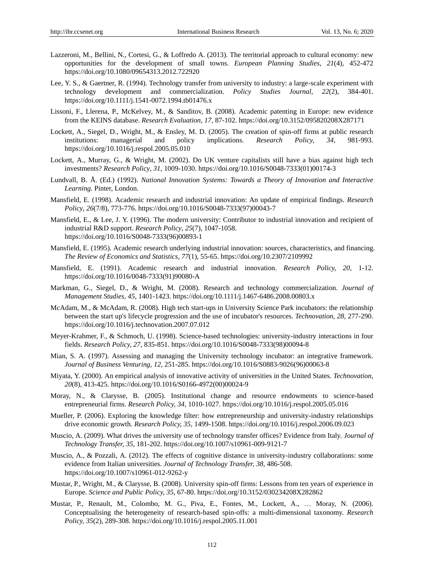- Lazzeroni, M., Bellini, N., Cortesi, G., & Loffredo A. (2013). The territorial approach to cultural economy: new opportunities for the development of small towns. *European Planning Studies, 21*(4), 452-472 https://doi.org/10.1080/09654313.2012.722920
- Lee, Y. S., & Gaertner, R. (1994). Technology transfer from university to industry: a large-scale experiment with technology development and commercialization. *Policy Studies Journal, 22*(2), 384-401. https://doi.org/10.1111/j.1541-0072.1994.tb01476.x
- Lissoni, F., Llerena, P., McKelvey, M., & Sanditov, B. (2008). Academic patenting in Europe: new evidence from the KEINS database. *Research Evaluation, 17,* 87-102. https://doi.org/10.3152/095820208X287171
- Lockett, A., Siegel, D., Wright, M., & Ensley, M. D. (2005). The creation of spin-off firms at public research institutions: managerial and policy implications. *Research Policy, 34,* 981-993. https://doi.org/10.1016/j.respol.2005.05.010
- Lockett, A., Murray, G., & Wright, M. (2002). Do UK venture capitalists still have a bias against high tech investments? *Research Policy*, *31*, 1009-1030. https://doi.org/10.1016/S0048-7333(01)00174-3
- Lundvall, B. Å. (Ed.) (1992). *National Innovation Systems: Towards a Theory of Innovation and Interactive Learning.* Pinter, London.
- Mansfield, E. (1998). Academic research and industrial innovation: An update of empirical findings. *Research Policy*, *26*(7/8), 773-776. https://doi.org/10.1016/S0048-7333(97)00043-7
- Mansfield, E., & Lee, J. Y. (1996). The modern university: Contributor to industrial innovation and recipient of industrial R&D support. *Research Policy*, *25*(7), 1047-1058. https://doi.org/10.1016/S0048-7333(96)00893-1
- Mansfield, E. (1995). Academic research underlying industrial innovation: sources, characteristics, and financing. *The Review of Economics and Statistics, 77*(1), 55-65. https://doi.org/10.2307/2109992
- Mansfield, E. (1991). Academic research and industrial innovation. *Research Policy, 20,* 1-12. https://doi.org/10.1016/0048-7333(91)90080-A
- Markman, G., Siegel, D., & Wright, M. (2008). Research and technology commercialization. *Journal of Management Studies, 45,* 1401-1423. https://doi.org/10.1111/j.1467-6486.2008.00803.x
- McAdam, M., & McAdam, R. (2008). High tech start-ups in University Science Park incubators: the relationship between the start up's lifecycle progression and the use of incubator's resources. *Technovation, 28,* 277-290. https://doi.org/10.1016/j.technovation.2007.07.012
- Meyer-Krahmer, F., & Schmoch, U. (1998). Science-based technologies: university-industry interactions in four fields. *Research Policy, 27*, 835-851. https://doi.org/10.1016/S0048-7333(98)00094-8
- Mian, S. A. (1997). Assessing and managing the University technology incubator: an integrative framework. *Journal of Business Venturing, 12*, 251-285. https://doi.org/10.1016/S0883-9026(96)00063-8
- Miyata, Y. (2000). An empirical analysis of innovative activity of universities in the United States. *Technovation*, *20*(8), 413-425. https://doi.org/10.1016/S0166-4972(00)00024-9
- Moray, N., & Clarysse, B. (2005). Institutional change and resource endowments to science-based entrepreneurial firms. *Research Policy, 34*, 1010-1027. https://doi.org/10.1016/j.respol.2005.05.016
- Mueller, P. (2006). Exploring the knowledge filter: how entrepreneurship and university-industry relationships drive economic growth. *Research Policy, 35,* 1499-1508. https://doi.org/10.1016/j.respol.2006.09.023
- Muscio, A. (2009). What drives the university use of technology transfer offices? Evidence from Italy. *Journal of Technology Transfer, 35,* 181-202. https://doi.org/10.1007/s10961-009-9121-7
- Muscio, A., & Pozzali, A. (2012). The effects of cognitive distance in university-industry collaborations: some evidence from Italian universities. *Journal of Technology Transfer, 38,* 486-508. https://doi.org/10.1007/s10961-012-9262-y
- Mustar, P., Wright, M., & Clarysse, B. (2008). University spin-off firms: Lessons from ten years of experience in Europe. *Science and Public Policy, 35*, 67-80. https://doi.org/10.3152/030234208X282862
- Mustar, P., Renault, M., Colombo, M. G., Piva, E., Fontes, M., Lockett, A., … Moray, N. (2006). Conceptualising the heterogeneity of research-based spin-offs: a multi-dimensional taxonomy. *Research Policy, 35*(2), 289-308. https://doi.org/10.1016/j.respol.2005.11.001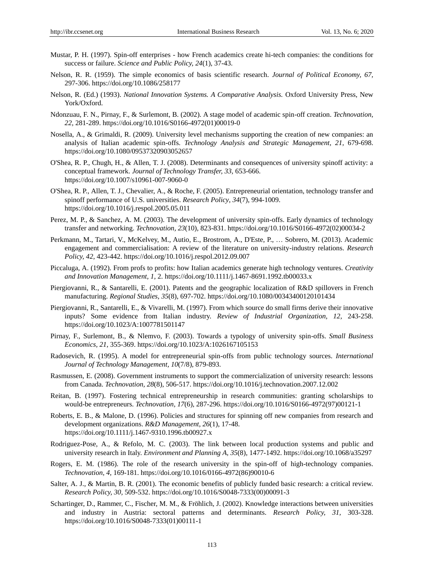- Mustar, P. H. (1997). Spin-off enterprises how French academics create hi-tech companies: the conditions for success or failure. *Science and Public Policy, 24*(1), 37-43.
- Nelson, R. R. (1959). The simple economics of basis scientific research. *Journal of Political Economy, 67,*  297-306. https://doi.org/10.1086/258177
- Nelson, R. (Ed.) (1993). *National Innovation Systems. A Comparative Analysis.* Oxford University Press, New York/Oxford.
- Ndonzuau, F. N., Pirnay, F., & Surlemont, B. (2002). A stage model of academic spin-off creation. *Technovation, 22,* 281-289. https://doi.org/10.1016/S0166-4972(01)00019-0
- Nosella, A., & Grimaldi, R. (2009). University level mechanisms supporting the creation of new companies: an analysis of Italian academic spin-offs. *Technology Analysis and Strategic Management, 21,* 679-698. https://doi.org/10.1080/09537320903052657
- O'Shea, R. P., Chugh, H., & Allen, T. J. (2008). Determinants and consequences of university spinoff activity: a conceptual framework. *Journal of Technology Transfer, 33,* 653-666. https://doi.org/10.1007/s10961-007-9060-0
- O'Shea, R. P., Allen, T. J., Chevalier, A., & Roche, F. (2005). Entrepreneurial orientation, technology transfer and spinoff performance of U.S. universities. *Research Policy*, *34*(7), 994-1009. https://doi.org/10.1016/j.respol.2005.05.011
- Perez, M. P., & Sanchez, A. M. (2003). The development of university spin-offs. Early dynamics of technology transfer and networking. *Technovation, 23*(10), 823-831. https://doi.org/10.1016/S0166-4972(02)00034-2
- Perkmann, M., Tartari, V., McKelvey, M., Autio, E., Brostrom, A., D'Este, P., … Sobrero, M. (2013). Academic engagement and commercialisation: A review of the literature on university-industry relations. *Research Policy, 42,* 423-442. https://doi.org/10.1016/j.respol.2012.09.007
- Piccaluga, A. (1992). From profs to profits: how Italian academics generate high technology ventures. *Creativity and Innovation Management, 1,* 2. https://doi.org/10.1111/j.1467-8691.1992.tb00033.x
- Piergiovanni, R., & Santarelli, E. (2001). Patents and the geographic localization of R&D spillovers in French manufacturing. *Regional Studies*, *35*(8), 697-702. https://doi.org/10.1080/00343400120101434
- Piergiovanni, R., Santarelli, E., & Vivarelli, M. (1997). From which source do small firms derive their innovative inputs? Some evidence from Italian industry. *Review of Industrial Organization, 12,* 243-258. https://doi.org/10.1023/A:1007781501147
- Pirnay, F., Surlemont, B., & Nlemvo, F. (2003). Towards a typology of university spin-offs. *Small Business Economics, 21*, 355-369. https://doi.org/10.1023/A:1026167105153
- Radosevich, R. (1995). A model for entrepreneurial spin-offs from public technology sources. *International Journal of Technology Management, 10*(7/8), 879-893.
- Rasmussen, E. (2008). Government instruments to support the commercialization of university research: lessons from Canada. *Technovation, 28*(8), 506-517. https://doi.org/10.1016/j.technovation.2007.12.002
- Reitan, B. (1997). Fostering technical entrepreneurship in research communities: granting scholarships to would-be entrepreneurs. *Technovation, 17*(6), 287-296. https://doi.org/10.1016/S0166-4972(97)00121-1
- Roberts, E. B., & Malone, D. (1996). Policies and structures for spinning off new companies from research and development organizations. *R&D Management, 26*(1), 17-48. https://doi.org/10.1111/j.1467-9310.1996.tb00927.x
- Rodriguez-Pose, A., & Refolo, M. C. (2003). The link between local production systems and public and university research in Italy. *Environment and Planning A, 35*(8), 1477-1492. https://doi.org/10.1068/a35297
- Rogers, E. M. (1986). The role of the research university in the spin-off of high-technology companies. *Technovation, 4,* 169-181. https://doi.org/10.1016/0166-4972(86)90010-6
- Salter, A. J., & Martin, B. R. (2001). The economic benefits of publicly funded basic research: a critical review. *Research Policy, 30,* 509-532. https://doi.org/10.1016/S0048-7333(00)00091-3
- Schartinger, D., Rammer, C., Fischer, M. M., & Fröhlich, J. (2002). Knowledge interactions between universities and industry in Austria: sectoral patterns and determinants. *Research Policy, 31,* 303-328. https://doi.org/10.1016/S0048-7333(01)00111-1